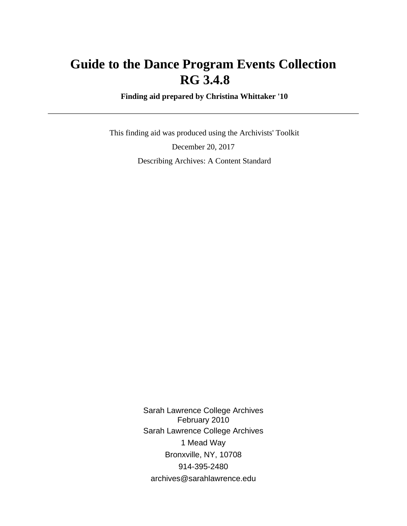# **Guide to the Dance Program Events Collection RG 3.4.8**

 **Finding aid prepared by Christina Whittaker '10**

 This finding aid was produced using the Archivists' Toolkit December 20, 2017 Describing Archives: A Content Standard

> Sarah Lawrence College Archives February 2010 Sarah Lawrence College Archives 1 Mead Way Bronxville, NY, 10708 914-395-2480 archives@sarahlawrence.edu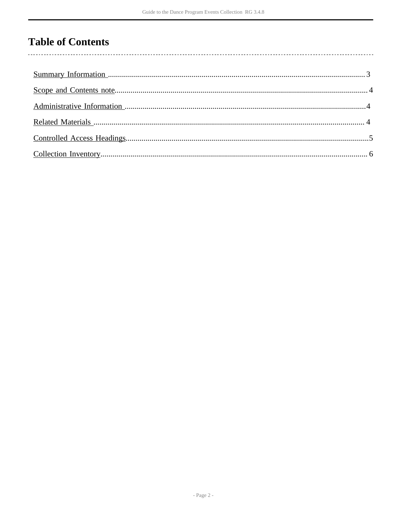## **Table of Contents**

 $\overline{\phantom{a}}$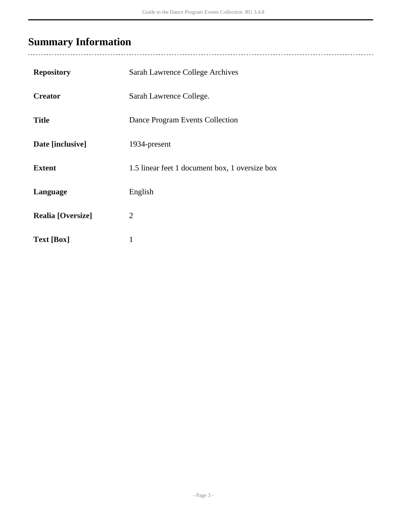# <span id="page-2-0"></span>**Summary Information**

| <b>Repository</b>        | Sarah Lawrence College Archives                |
|--------------------------|------------------------------------------------|
| <b>Creator</b>           | Sarah Lawrence College.                        |
| <b>Title</b>             | Dance Program Events Collection                |
| Date [inclusive]         | 1934-present                                   |
| <b>Extent</b>            | 1.5 linear feet 1 document box, 1 oversize box |
| Language                 | English                                        |
| <b>Realia</b> [Oversize] | $\overline{2}$                                 |
| <b>Text [Box]</b>        | 1                                              |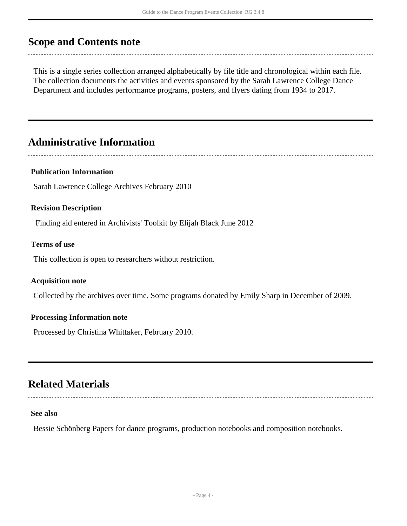### <span id="page-3-0"></span>**Scope and Contents note**

This is a single series collection arranged alphabetically by file title and chronological within each file. The collection documents the activities and events sponsored by the Sarah Lawrence College Dance Department and includes performance programs, posters, and flyers dating from 1934 to 2017.

## <span id="page-3-1"></span>**Administrative Information**

#### **Publication Information**

Sarah Lawrence College Archives February 2010

#### **Revision Description**

Finding aid entered in Archivists' Toolkit by Elijah Black June 2012

#### **Terms of use**

This collection is open to researchers without restriction.

#### **Acquisition note**

Collected by the archives over time. Some programs donated by Emily Sharp in December of 2009.

#### **Processing Information note**

Processed by Christina Whittaker, February 2010.

### <span id="page-3-2"></span>**Related Materials**

#### **See also**

Bessie Schönberg Papers for dance programs, production notebooks and composition notebooks.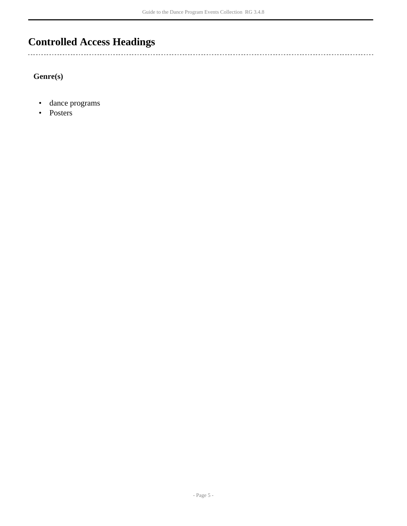## <span id="page-4-0"></span>**Controlled Access Headings**

**Genre(s)**

• dance programs

----------------------------------

• Posters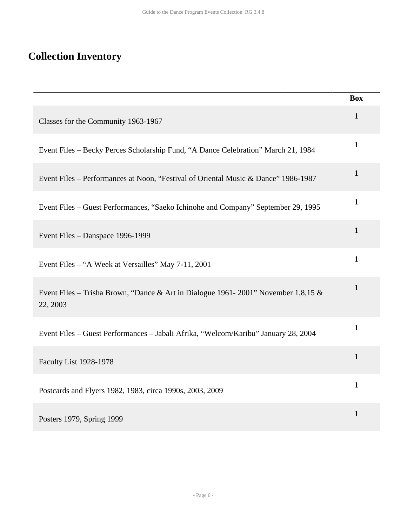# <span id="page-5-0"></span>**Collection Inventory**

|                                                                                               | <b>Box</b>   |
|-----------------------------------------------------------------------------------------------|--------------|
| Classes for the Community 1963-1967                                                           | $\mathbf{1}$ |
| Event Files - Becky Perces Scholarship Fund, "A Dance Celebration" March 21, 1984             | $\mathbf{1}$ |
| Event Files - Performances at Noon, "Festival of Oriental Music & Dance" 1986-1987            | $\mathbf{1}$ |
| Event Files - Guest Performances, "Saeko Ichinohe and Company" September 29, 1995             | $\mathbf{1}$ |
| Event Files - Danspace 1996-1999                                                              | $\mathbf{1}$ |
| Event Files - "A Week at Versailles" May 7-11, 2001                                           | 1            |
| Event Files – Trisha Brown, "Dance & Art in Dialogue 1961-2001" November 1,8,15 &<br>22, 2003 | $\mathbf{1}$ |
| Event Files - Guest Performances - Jabali Afrika, "Welcom/Karibu" January 28, 2004            | $\mathbf{1}$ |
| <b>Faculty List 1928-1978</b>                                                                 | $\mathbf{1}$ |
| Postcards and Flyers 1982, 1983, circa 1990s, 2003, 2009                                      | $\mathbf{1}$ |
| Posters 1979, Spring 1999                                                                     | $\mathbf{1}$ |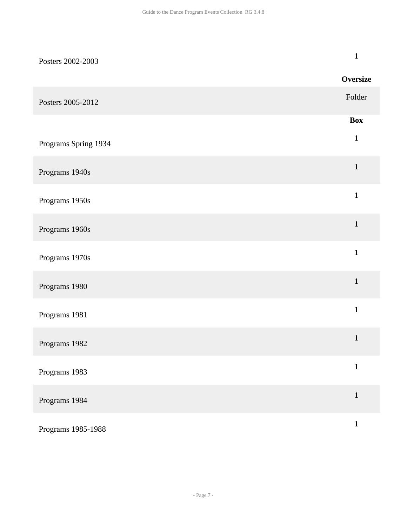| Posters 2002-2003    | $\mathbf{1}$    |
|----------------------|-----------------|
|                      | <b>Oversize</b> |
| Posters 2005-2012    | Folder          |
|                      | <b>Box</b>      |
| Programs Spring 1934 | $\,1$           |
| Programs 1940s       | $\mathbf{1}$    |
| Programs 1950s       | $\,1$           |
| Programs 1960s       | $\mathbf 1$     |
| Programs 1970s       | $\mathbf{1}$    |
| Programs 1980        | $1\,$           |
| Programs 1981        | $\mathbf{1}$    |
| Programs 1982        | $\mathbf 1$     |
| Programs 1983        | $\mathbf{1}$    |
| Programs 1984        | $\mathbf 1$     |
| Programs 1985-1988   | $\mathbf 1$     |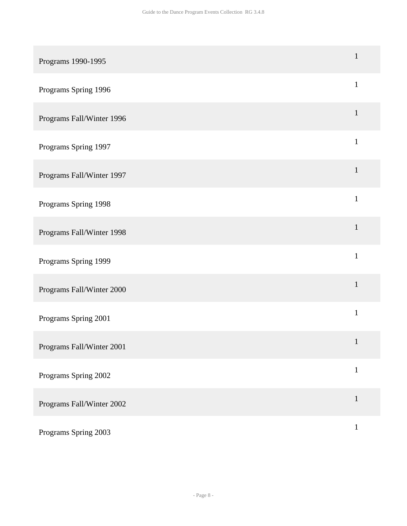| Programs 1990-1995        | $\mathbf{1}$ |
|---------------------------|--------------|
| Programs Spring 1996      | $\mathbf{1}$ |
| Programs Fall/Winter 1996 | $\mathbf{1}$ |
| Programs Spring 1997      | $\mathbf{1}$ |
| Programs Fall/Winter 1997 | $\mathbf{1}$ |
| Programs Spring 1998      | $\mathbf{1}$ |
| Programs Fall/Winter 1998 | $\mathbf{1}$ |
| Programs Spring 1999      | $\mathbf{1}$ |
| Programs Fall/Winter 2000 | $\mathbf{1}$ |
| Programs Spring 2001      | $\mathbf{1}$ |
| Programs Fall/Winter 2001 | $\mathbf{1}$ |
| Programs Spring 2002      | $\mathbf{1}$ |
| Programs Fall/Winter 2002 | $\mathbf{1}$ |
| Programs Spring 2003      | $\mathbf{1}$ |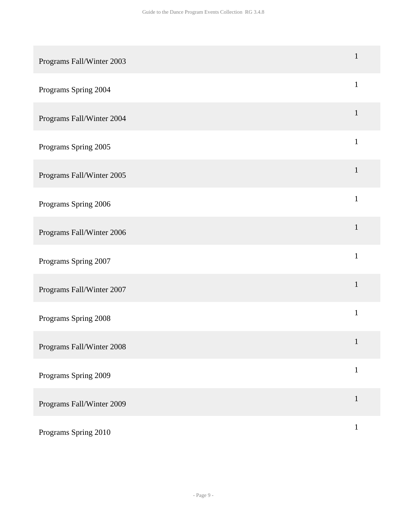| Programs Fall/Winter 2003 | $\mathbf{1}$ |
|---------------------------|--------------|
| Programs Spring 2004      | $\mathbf{1}$ |
| Programs Fall/Winter 2004 | $\mathbf{1}$ |
| Programs Spring 2005      | $\mathbf{1}$ |
| Programs Fall/Winter 2005 | $\mathbf{1}$ |
| Programs Spring 2006      | $\mathbf{1}$ |
| Programs Fall/Winter 2006 | $\mathbf{1}$ |
| Programs Spring 2007      | $\mathbf{1}$ |
| Programs Fall/Winter 2007 | $\mathbf{1}$ |
| Programs Spring 2008      | $1\,$        |
| Programs Fall/Winter 2008 | $\mathbf{1}$ |
| Programs Spring 2009      | $\mathbf{1}$ |
| Programs Fall/Winter 2009 | $\mathbf{1}$ |
| Programs Spring 2010      | $\mathbf{1}$ |